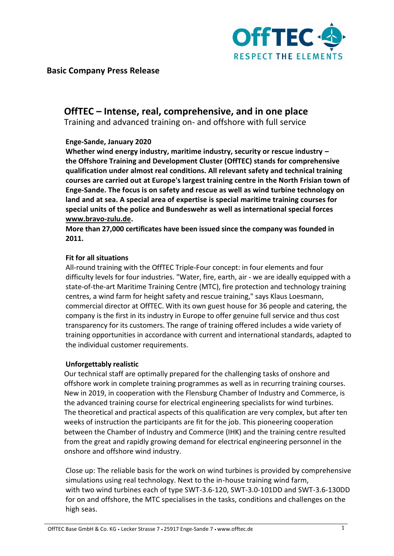

**Basic Company Press Release**

# **OffTEC – Intense, real, comprehensive, and in one place**

Training and advanced training on- and offshore with full service

### **Enge-Sande, January 2020**

**Whether wind energy industry, maritime industry, security or rescue industry – the Offshore Training and Development Cluster (OffTEC) stands for comprehensive qualification under almost real conditions. All relevant safety and technical training courses are carried out at Europe's largest training centre in the North Frisian town of Enge-Sande. The focus is on safety and rescue as well as wind turbine technology on land and at sea. A special area of expertise is special maritime training courses for special units of the police and Bundeswehr as well as international special forces [www.bravo-zulu.de.](http://www.bravo-zulu.de/)**

**More than 27,000 certificates have been issued since the company was founded in 2011.** 

### **Fit for all situations**

All-round training with the OffTEC Triple-Four concept: in four elements and four difficulty levels for four industries. "Water, fire, earth, air - we are ideally equipped with a state-of-the-art Maritime Training Centre (MTC), fire protection and technology training centres, a wind farm for height safety and rescue training," says Klaus Loesmann, commercial director at OffTEC. With its own guest house for 36 people and catering, the company is the first in its industry in Europe to offer genuine full service and thus cost transparency for its customers. The range of training offered includes a wide variety of training opportunities in accordance with current and international standards, adapted to the individual customer requirements.

# **Unforgettably realistic**

Our technical staff are optimally prepared for the challenging tasks of onshore and offshore work in complete training programmes as well as in recurring training courses. New in 2019, in cooperation with the Flensburg Chamber of Industry and Commerce, is the advanced training course for electrical engineering specialists for wind turbines. The theoretical and practical aspects of this qualification are very complex, but after ten weeks of instruction the participants are fit for the job. This pioneering cooperation between the Chamber of Industry and Commerce (IHK) and the training centre resulted from the great and rapidly growing demand for electrical engineering personnel in the onshore and offshore wind industry.

Close up: The reliable basis for the work on wind turbines is provided by comprehensive simulations using real technology. Next to the in-house training wind farm, with two wind turbines each of type SWT-3.6-120, SWT-3.0-101DD and SWT-3.6-130DD for on and offshore, the MTC specialises in the tasks, conditions and challenges on the high seas.